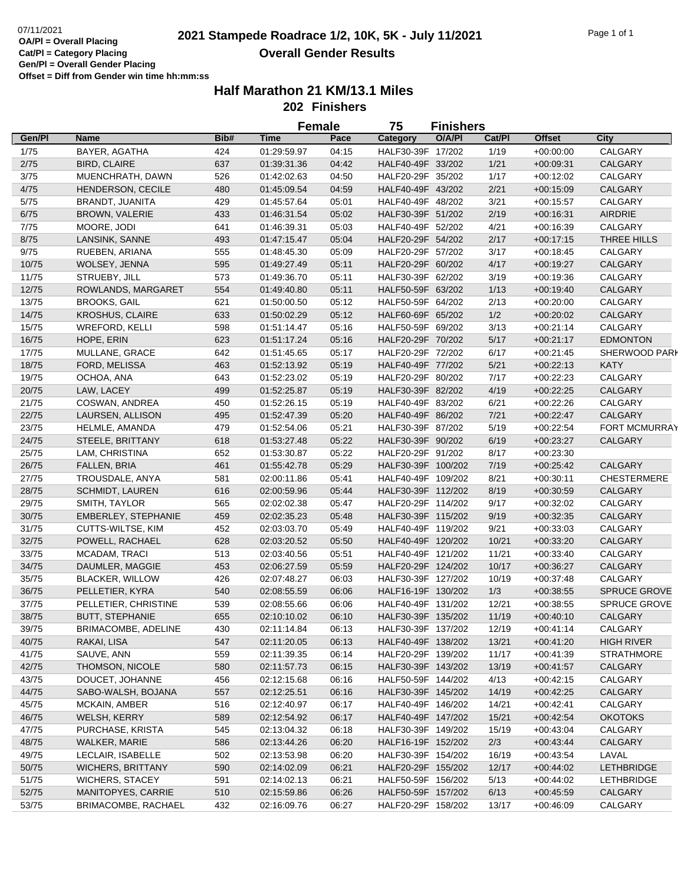|        |                        | <b>Female</b><br>75<br><b>Finishers</b> |             |       |                    |        |        |               |                      |  |
|--------|------------------------|-----------------------------------------|-------------|-------|--------------------|--------|--------|---------------|----------------------|--|
| Gen/Pl | Name                   | Bib#                                    | Time        | Pace  | Category           | O/A/PI | Cat/Pl | <b>Offset</b> | City                 |  |
| 1/75   | BAYER, AGATHA          | 424                                     | 01:29:59.97 | 04:15 | HALF30-39F 17/202  |        | 1/19   | $+00:00:00$   | CALGARY              |  |
| 2/75   | <b>BIRD, CLAIRE</b>    | 637                                     | 01:39:31.36 | 04:42 | HALF40-49F 33/202  |        | 1/21   | $+00.09:31$   | <b>CALGARY</b>       |  |
| 3/75   | MUENCHRATH, DAWN       | 526                                     | 01:42:02.63 | 04:50 | HALF20-29F 35/202  |        | 1/17   | $+00:12:02$   | CALGARY              |  |
| 4/75   | HENDERSON, CECILE      | 480                                     | 01:45:09.54 | 04:59 | HALF40-49F 43/202  |        | 2/21   | $+00:15:09$   | <b>CALGARY</b>       |  |
| 5/75   | BRANDT, JUANITA        | 429                                     | 01:45:57.64 | 05:01 | HALF40-49F 48/202  |        | 3/21   | $+00:15:57$   | CALGARY              |  |
| 6/75   | BROWN, VALERIE         | 433                                     | 01:46:31.54 | 05:02 | HALF30-39F 51/202  |        | 2/19   | $+00:16:31$   | AIRDRIE              |  |
| 7/75   | MOORE, JODI            | 641                                     | 01:46:39.31 | 05:03 | HALF40-49F 52/202  |        | 4/21   | $+00:16:39$   | CALGARY              |  |
| 8/75   | LANSINK, SANNE         | 493                                     | 01:47:15.47 | 05:04 | HALF20-29F 54/202  |        | 2/17   | $+00:17:15$   | THREE HILLS          |  |
| 9/75   | RUEBEN, ARIANA         | 555                                     | 01:48:45.30 | 05:09 | HALF20-29F 57/202  |        | 3/17   | $+00:18:45$   | CALGARY              |  |
| 10/75  | WOLSEY, JENNA          | 595                                     | 01:49:27.49 | 05:11 | HALF20-29F 60/202  |        | 4/17   | $+00:19:27$   | <b>CALGARY</b>       |  |
| 11/75  | STRUEBY, JILL          | 573                                     | 01:49:36.70 | 05:11 | HALF30-39F 62/202  |        | 3/19   | $+00:19:36$   | CALGARY              |  |
| 12/75  | ROWLANDS, MARGARET     | 554                                     | 01:49:40.80 | 05:11 | HALF50-59F 63/202  |        | 1/13   | $+00:19:40$   | <b>CALGARY</b>       |  |
| 13/75  | <b>BROOKS, GAIL</b>    | 621                                     | 01:50:00.50 | 05:12 | HALF50-59F 64/202  |        | 2/13   | $+00:20:00$   | CALGARY              |  |
| 14/75  | <b>KROSHUS, CLAIRE</b> | 633                                     | 01:50:02.29 | 05:12 | HALF60-69F 65/202  |        | 1/2    | $+00:20:02$   | CALGARY              |  |
| 15/75  | <b>WREFORD, KELLI</b>  | 598                                     | 01:51:14.47 | 05:16 | HALF50-59F 69/202  |        | 3/13   | $+00:21:14$   | CALGARY              |  |
| 16/75  | HOPE, ERIN             | 623                                     | 01:51:17.24 | 05:16 | HALF20-29F 70/202  |        | $5/17$ | $+00:21:17$   | <b>EDMONTON</b>      |  |
| 17/75  | MULLANE, GRACE         | 642                                     | 01:51:45.65 | 05:17 | HALF20-29F 72/202  |        | 6/17   | $+00:21:45$   | SHERWOOD PARI        |  |
| 18/75  | FORD, MELISSA          | 463                                     | 01:52:13.92 | 05:19 | HALF40-49F 77/202  |        | $5/21$ | $+00:22:13$   | <b>KATY</b>          |  |
| 19/75  | OCHOA, ANA             | 643                                     | 01:52:23.02 | 05:19 | HALF20-29F 80/202  |        | 7/17   | $+00:22:23$   | CALGARY              |  |
| 20/75  | LAW, LACEY             | 499                                     | 01:52:25.87 | 05:19 | HALF30-39F 82/202  |        | 4/19   | $+00:22:25$   | <b>CALGARY</b>       |  |
| 21/75  | COSWAN, ANDREA         | 450                                     | 01:52:26.15 | 05:19 | HALF40-49F 83/202  |        | 6/21   | $+00:22:26$   | CALGARY              |  |
| 22/75  | LAURSEN, ALLISON       | 495                                     | 01:52:47.39 | 05:20 | HALF40-49F 86/202  |        | 7/21   | $+00:22:47$   | <b>CALGARY</b>       |  |
| 23/75  | HELMLE, AMANDA         | 479                                     | 01:52:54.06 | 05:21 | HALF30-39F 87/202  |        | 5/19   | $+00:22:54$   | <b>FORT MCMURRAY</b> |  |
| 24/75  | STEELE, BRITTANY       | 618                                     | 01:53:27.48 | 05:22 | HALF30-39F 90/202  |        | 6/19   | $+00:23:27$   | <b>CALGARY</b>       |  |
| 25/75  | LAM, CHRISTINA         | 652                                     | 01:53:30.87 | 05:22 | HALF20-29F 91/202  |        | 8/17   | $+00:23:30$   |                      |  |
| 26/75  | FALLEN, BRIA           | 461                                     | 01:55:42.78 | 05:29 | HALF30-39F 100/202 |        | 7/19   | $+00:25:42$   | <b>CALGARY</b>       |  |
| 27/75  | TROUSDALE, ANYA        | 581                                     | 02:00:11.86 | 05:41 | HALF40-49F 109/202 |        | 8/21   | $+00:30:11$   | <b>CHESTERMERE</b>   |  |
| 28/75  | <b>SCHMIDT, LAUREN</b> | 616                                     | 02:00:59.96 | 05:44 | HALF30-39F 112/202 |        | 8/19   | $+00:30:59$   | <b>CALGARY</b>       |  |
| 29/75  | SMITH, TAYLOR          | 565                                     | 02:02:02.38 | 05:47 | HALF20-29F 114/202 |        | 9/17   | $+00:32:02$   | CALGARY              |  |
| 30/75  | EMBERLEY, STEPHANIE    | 459                                     | 02:02:35.23 | 05:48 | HALF30-39F 115/202 |        | 9/19   | $+00:32:35$   | CALGARY              |  |
| 31/75  | CUTTS-WILTSE, KIM      | 452                                     | 02:03:03.70 | 05:49 | HALF40-49F 119/202 |        | 9/21   | $+00:33:03$   | CALGARY              |  |
| 32/75  | POWELL, RACHAEL        | 628                                     | 02:03:20.52 | 05:50 | HALF40-49F 120/202 |        | 10/21  | $+00:33:20$   | CALGARY              |  |
| 33/75  | MCADAM, TRACI          | 513                                     | 02:03:40.56 | 05:51 | HALF40-49F 121/202 |        | 11/21  | $+00:33:40$   | CALGARY              |  |
| 34/75  | DAUMLER, MAGGIE        | 453                                     | 02:06:27.59 | 05:59 | HALF20-29F 124/202 |        | 10/17  | $+00:36:27$   | <b>CALGARY</b>       |  |
| 35/75  | BLACKER, WILLOW        | 426                                     | 02:07:48.27 | 06:03 | HALF30-39F 127/202 |        | 10/19  | $+00:37:48$   | CALGARY              |  |
| 36/75  | PELLETIER, KYRA        | 540                                     | 02:08:55.59 | 06:06 | HALF16-19F 130/202 |        | 1/3    | $+00:38:55$   | <b>SPRUCE GROVE</b>  |  |
| 37/75  | PELLETIER, CHRISTINE   | 539                                     | 02:08:55.66 | 06:06 | HALF40-49F 131/202 |        | 12/21  | $+00:38:55$   | SPRUCE GROVE         |  |
| 38/75  | <b>BUTT, STEPHANIE</b> | 655                                     | 02:10:10.02 | 06:10 | HALF30-39F 135/202 |        | 11/19  | $+00:40:10$   | <b>CALGARY</b>       |  |
| 39/75  | BRIMACOMBE, ADELINE    | 430                                     | 02:11:14.84 | 06:13 | HALF30-39F 137/202 |        | 12/19  | $+00:41:14$   | CALGARY              |  |
| 40/75  | RAKAI, LISA            | 547                                     | 02:11:20.05 | 06:13 | HALF40-49F 138/202 |        | 13/21  | $+00:41:20$   | <b>HIGH RIVER</b>    |  |
| 41/75  | SAUVE, ANN             | 559                                     | 02:11:39.35 | 06:14 | HALF20-29F 139/202 |        | 11/17  | $+00:41:39$   | <b>STRATHMORE</b>    |  |
| 42/75  | THOMSON, NICOLE        | 580                                     | 02:11:57.73 | 06:15 | HALF30-39F 143/202 |        | 13/19  | $+00:41:57$   | CALGARY              |  |
| 43/75  | DOUCET, JOHANNE        | 456                                     | 02:12:15.68 | 06:16 | HALF50-59F 144/202 |        | 4/13   | $+00:42:15$   | CALGARY              |  |
| 44/75  | SABO-WALSH, BOJANA     | 557                                     | 02:12:25.51 | 06:16 | HALF30-39F 145/202 |        | 14/19  | $+00:42:25$   | CALGARY              |  |
| 45/75  | MCKAIN, AMBER          | 516                                     | 02:12:40.97 | 06:17 | HALF40-49F 146/202 |        | 14/21  | $+00:42:41$   | CALGARY              |  |
| 46/75  | WELSH, KERRY           | 589                                     | 02:12:54.92 | 06:17 | HALF40-49F 147/202 |        | 15/21  | $+00:42:54$   | <b>OKOTOKS</b>       |  |
| 47/75  | PURCHASE, KRISTA       | 545                                     | 02:13:04.32 | 06:18 | HALF30-39F 149/202 |        | 15/19  | $+00:43:04$   | CALGARY              |  |
| 48/75  | WALKER, MARIE          | 586                                     | 02:13:44.26 | 06:20 | HALF16-19F 152/202 |        | 2/3    | $+00:43:44$   | CALGARY              |  |
| 49/75  | LECLAIR, ISABELLE      | 502                                     | 02:13:53.98 | 06:20 | HALF30-39F 154/202 |        | 16/19  | $+00:43:54$   | LAVAL                |  |
| 50/75  | WICHERS, BRITTANY      | 590                                     | 02:14:02.09 | 06:21 | HALF20-29F 155/202 |        | 12/17  | $+00.44.02$   | <b>LETHBRIDGE</b>    |  |
| 51/75  | <b>WICHERS, STACEY</b> | 591                                     | 02:14:02.13 | 06:21 | HALF50-59F 156/202 |        | 5/13   | $+00:44:02$   | LETHBRIDGE           |  |
| 52/75  | MANITOPYES, CARRIE     | 510                                     | 02:15:59.86 | 06:26 | HALF50-59F 157/202 |        | 6/13   | $+00:45:59$   | CALGARY              |  |
| 53/75  | BRIMACOMBE, RACHAEL    | 432                                     | 02:16:09.76 | 06:27 | HALF20-29F 158/202 |        | 13/17  | $+00:46:09$   | CALGARY              |  |
|        |                        |                                         |             |       |                    |        |        |               |                      |  |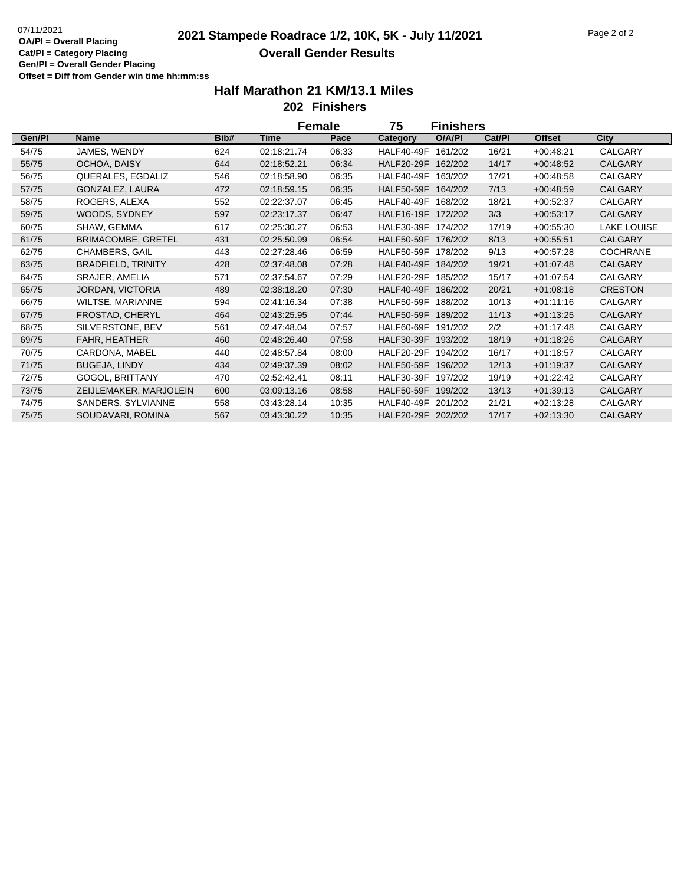|        |                           |      | <b>Female</b> |       | 75<br>Finishers    |         |        |               |                 |
|--------|---------------------------|------|---------------|-------|--------------------|---------|--------|---------------|-----------------|
| Gen/Pl | <b>Name</b>               | Bib# | <b>Time</b>   | Pace  | Category           | O/A/PI  | Cat/PI | <b>Offset</b> | City            |
| 54/75  | JAMES, WENDY              | 624  | 02:18:21.74   | 06:33 | <b>HALF40-49F</b>  | 161/202 | 16/21  | $+00:48:21$   | CALGARY         |
| 55/75  | OCHOA, DAISY              | 644  | 02:18:52.21   | 06:34 | <b>HALF20-29F</b>  | 162/202 | 14/17  | $+00:48:52$   | <b>CALGARY</b>  |
| 56/75  | QUERALES, EGDALIZ         | 546  | 02:18:58.90   | 06:35 | <b>HALF40-49F</b>  | 163/202 | 17/21  | $+00.48.58$   | CALGARY         |
| 57/75  | GONZALEZ, LAURA           | 472  | 02:18:59.15   | 06:35 | HALF50-59F 164/202 |         | 7/13   | $+00:48:59$   | <b>CALGARY</b>  |
| 58/75  | ROGERS, ALEXA             | 552  | 02:22:37.07   | 06:45 | <b>HALF40-49F</b>  | 168/202 | 18/21  | $+00.52.37$   | CALGARY         |
| 59/75  | WOODS, SYDNEY             | 597  | 02:23:17.37   | 06:47 | HALF16-19F 172/202 |         | 3/3    | $+00.53:17$   | <b>CALGARY</b>  |
| 60/75  | SHAW, GEMMA               | 617  | 02:25:30.27   | 06:53 | <b>HALF30-39F</b>  | 174/202 | 17/19  | $+00.55.30$   | LAKE LOUISE     |
| 61/75  | <b>BRIMACOMBE, GRETEL</b> | 431  | 02:25:50.99   | 06:54 | <b>HALF50-59F</b>  | 176/202 | 8/13   | $+00.55:51$   | <b>CALGARY</b>  |
| 62/75  | CHAMBERS, GAIL            | 443  | 02:27:28.46   | 06:59 | <b>HALF50-59F</b>  | 178/202 | 9/13   | $+00.57:28$   | <b>COCHRANE</b> |
| 63/75  | <b>BRADFIELD, TRINITY</b> | 428  | 02:37:48.08   | 07:28 | HALF40-49F 184/202 |         | 19/21  | $+01:07:48$   | <b>CALGARY</b>  |
| 64/75  | SRAJER, AMELIA            | 571  | 02:37:54.67   | 07:29 | HALF20-29F 185/202 |         | 15/17  | $+01:07:54$   | CALGARY         |
| 65/75  | JORDAN, VICTORIA          | 489  | 02:38:18.20   | 07:30 | HALF40-49F         | 186/202 | 20/21  | $+01:08:18$   | <b>CRESTON</b>  |
| 66/75  | WILTSE, MARIANNE          | 594  | 02:41:16.34   | 07:38 | HALF50-59F         | 188/202 | 10/13  | $+01:11:16$   | CALGARY         |
| 67/75  | FROSTAD, CHERYL           | 464  | 02:43:25.95   | 07:44 | <b>HALF50-59F</b>  | 189/202 | 11/13  | $+01:13:25$   | CALGARY         |
| 68/75  | SILVERSTONE, BEV          | 561  | 02:47:48.04   | 07:57 | HALF60-69F         | 191/202 | 2/2    | $+01:17:48$   | CALGARY         |
| 69/75  | FAHR, HEATHER             | 460  | 02:48:26.40   | 07:58 | HALF30-39F         | 193/202 | 18/19  | $+01:18:26$   | <b>CALGARY</b>  |
| 70/75  | CARDONA, MABEL            | 440  | 02:48:57.84   | 08:00 | HALF20-29F         | 194/202 | 16/17  | $+01:18:57$   | CALGARY         |
| 71/75  | <b>BUGEJA, LINDY</b>      | 434  | 02:49:37.39   | 08:02 | HALF50-59F 196/202 |         | 12/13  | $+01:19:37$   | <b>CALGARY</b>  |
| 72/75  | GOGOL, BRITTANY           | 470  | 02:52:42.41   | 08:11 | HALF30-39F         | 197/202 | 19/19  | $+01:22:42$   | CALGARY         |
| 73/75  | ZEIJLEMAKER, MARJOLEIN    | 600  | 03:09:13.16   | 08:58 | HALF50-59F 199/202 |         | 13/13  | $+01:39:13$   | <b>CALGARY</b>  |
| 74/75  | SANDERS, SYLVIANNE        | 558  | 03:43:28.14   | 10:35 | HALF40-49F 201/202 |         | 21/21  | $+02:13:28$   | CALGARY         |
| 75/75  | SOUDAVARI, ROMINA         | 567  | 03:43:30.22   | 10:35 | HALF20-29F 202/202 |         | 17/17  | $+02:13:30$   | <b>CALGARY</b>  |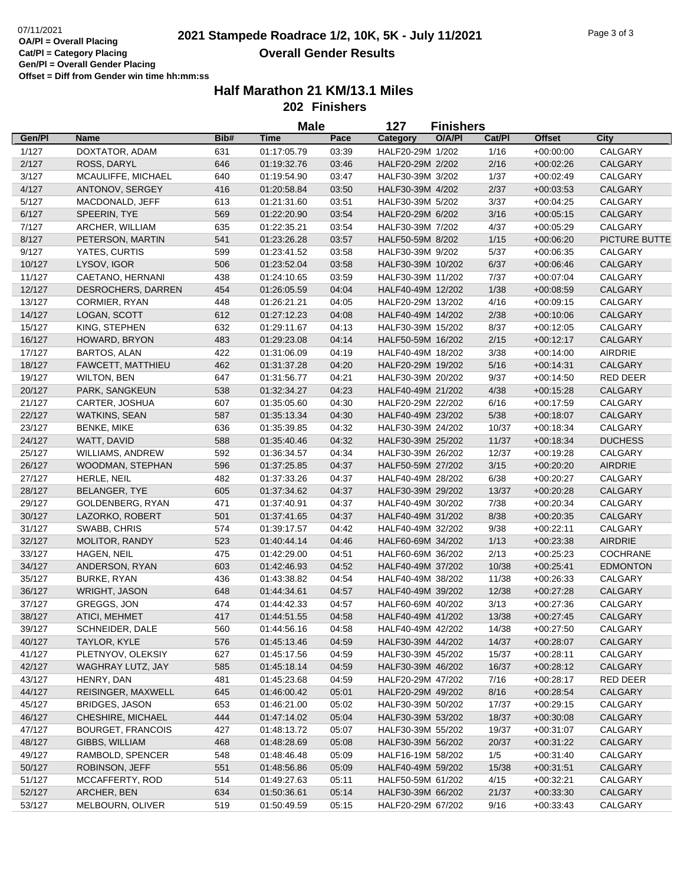|        |                          |      | <b>Male</b> |       | 127               | <b>Finishers</b> |        |               |                 |
|--------|--------------------------|------|-------------|-------|-------------------|------------------|--------|---------------|-----------------|
| Gen/Pl | <b>Name</b>              | Bib# | Time        | Pace  | Category          | O/A/PI           | Cat/Pl | <b>Offset</b> | City            |
| 1/127  | DOXTATOR, ADAM           | 631  | 01:17:05.79 | 03:39 | HALF20-29M 1/202  |                  | 1/16   | $+00:00:00$   | CALGARY         |
| 2/127  | ROSS, DARYL              | 646  | 01:19:32.76 | 03:46 | HALF20-29M 2/202  |                  | 2/16   | $+00:02:26$   | CALGARY         |
| 3/127  | MCAULIFFE, MICHAEL       | 640  | 01:19:54.90 | 03:47 | HALF30-39M 3/202  |                  | 1/37   | $+00:02:49$   | CALGARY         |
| 4/127  | ANTONOV, SERGEY          | 416  | 01:20:58.84 | 03:50 | HALF30-39M 4/202  |                  | 2/37   | $+00:03:53$   | CALGARY         |
| 5/127  | MACDONALD, JEFF          | 613  | 01:21:31.60 | 03:51 | HALF30-39M 5/202  |                  | 3/37   | $+00:04:25$   | CALGARY         |
| 6/127  | SPEERIN, TYE             | 569  | 01:22:20.90 | 03:54 | HALF20-29M 6/202  |                  | 3/16   | $+00:05:15$   | CALGARY         |
| 7/127  | ARCHER, WILLIAM          | 635  | 01:22:35.21 | 03:54 | HALF30-39M 7/202  |                  | 4/37   | $+00:05:29$   | CALGARY         |
| 8/127  | PETERSON, MARTIN         | 541  | 01:23:26.28 | 03:57 | HALF50-59M 8/202  |                  | 1/15   | $+00:06:20$   | PICTURE BUTTE   |
| 9/127  | YATES, CURTIS            | 599  | 01:23:41.52 | 03:58 | HALF30-39M 9/202  |                  | 5/37   | $+00:06:35$   | CALGARY         |
| 10/127 | LYSOV, IGOR              | 506  | 01:23:52.04 | 03:58 | HALF30-39M 10/202 |                  | 6/37   | $+00.06:46$   | CALGARY         |
| 11/127 | CAETANO, HERNANI         | 438  | 01:24:10.65 | 03:59 | HALF30-39M 11/202 |                  | 7/37   | $+00:07:04$   | CALGARY         |
| 12/127 | DESROCHERS, DARREN       | 454  | 01:26:05.59 | 04:04 | HALF40-49M 12/202 |                  | 1/38   | $+00:08:59$   | CALGARY         |
| 13/127 | <b>CORMIER, RYAN</b>     | 448  | 01:26:21.21 | 04:05 | HALF20-29M 13/202 |                  | 4/16   | $+00:09:15$   | CALGARY         |
| 14/127 | LOGAN, SCOTT             | 612  | 01:27:12.23 | 04:08 | HALF40-49M 14/202 |                  | 2/38   | $+00:10:06$   | CALGARY         |
| 15/127 | KING, STEPHEN            | 632  | 01:29:11.67 | 04:13 | HALF30-39M 15/202 |                  | 8/37   | $+00:12:05$   | CALGARY         |
| 16/127 | HOWARD, BRYON            | 483  | 01:29:23.08 | 04:14 | HALF50-59M 16/202 |                  | 2/15   | $+00:12:17$   | CALGARY         |
| 17/127 | <b>BARTOS, ALAN</b>      | 422  | 01:31:06.09 | 04:19 | HALF40-49M 18/202 |                  | 3/38   | $+00:14:00$   | <b>AIRDRIE</b>  |
| 18/127 | <b>FAWCETT, MATTHIEU</b> | 462  | 01:31:37.28 | 04:20 | HALF20-29M 19/202 |                  | 5/16   | $+00:14:31$   | CALGARY         |
| 19/127 | <b>WILTON, BEN</b>       | 647  | 01:31:56.77 | 04:21 | HALF30-39M 20/202 |                  | 9/37   | $+00:14:50$   | <b>RED DEER</b> |
| 20/127 | PARK, SANGKEUN           | 538  | 01:32:34.27 | 04:23 | HALF40-49M 21/202 |                  | 4/38   | $+00:15:28$   | CALGARY         |
| 21/127 | CARTER, JOSHUA           | 607  | 01:35:05.60 | 04:30 | HALF20-29M 22/202 |                  | 6/16   | $+00:17:59$   | CALGARY         |
| 22/127 | <b>WATKINS, SEAN</b>     | 587  | 01:35:13.34 | 04:30 | HALF40-49M 23/202 |                  | 5/38   | $+00:18:07$   | <b>CALGARY</b>  |
| 23/127 | <b>BENKE, MIKE</b>       | 636  | 01:35:39.85 | 04:32 | HALF30-39M 24/202 |                  | 10/37  | $+00:18:34$   | CALGARY         |
| 24/127 | WATT, DAVID              | 588  | 01:35:40.46 | 04:32 | HALF30-39M 25/202 |                  | 11/37  | $+00:18:34$   | <b>DUCHESS</b>  |
| 25/127 | WILLIAMS, ANDREW         | 592  | 01:36:34.57 | 04:34 | HALF30-39M 26/202 |                  | 12/37  | $+00:19:28$   | CALGARY         |
| 26/127 | WOODMAN, STEPHAN         | 596  | 01:37:25.85 | 04:37 | HALF50-59M 27/202 |                  | 3/15   | $+00:20:20$   | <b>AIRDRIE</b>  |
| 27/127 | HERLE, NEIL              | 482  | 01:37:33.26 | 04:37 | HALF40-49M 28/202 |                  | 6/38   | $+00:20:27$   | CALGARY         |
| 28/127 | <b>BELANGER, TYE</b>     | 605  | 01:37:34.62 | 04:37 | HALF30-39M 29/202 |                  | 13/37  | $+00:20:28$   | CALGARY         |
| 29/127 | GOLDENBERG, RYAN         | 471  | 01:37:40.91 | 04:37 | HALF40-49M 30/202 |                  | 7/38   | $+00:20:34$   | CALGARY         |
| 30/127 | LAZORKO, ROBERT          | 501  | 01:37:41.65 | 04:37 | HALF40-49M 31/202 |                  | 8/38   | $+00:20:35$   | CALGARY         |
| 31/127 | SWABB, CHRIS             | 574  | 01:39:17.57 | 04:42 | HALF40-49M 32/202 |                  | 9/38   | $+00:22:11$   | CALGARY         |
| 32/127 | MOLITOR, RANDY           | 523  | 01:40:44.14 | 04:46 | HALF60-69M 34/202 |                  | 1/13   | $+00:23:38$   | <b>AIRDRIE</b>  |
| 33/127 | HAGEN, NEIL              | 475  | 01:42:29.00 | 04:51 | HALF60-69M 36/202 |                  | 2/13   | $+00:25:23$   | <b>COCHRANE</b> |
| 34/127 | ANDERSON, RYAN           | 603  | 01:42:46.93 | 04:52 | HALF40-49M 37/202 |                  | 10/38  | $+00:25:41$   | <b>EDMONTON</b> |
| 35/127 | <b>BURKE, RYAN</b>       | 436  | 01:43:38.82 | 04:54 | HALF40-49M 38/202 |                  | 11/38  | $+00:26:33$   | CALGARY         |
| 36/127 | WRIGHT, JASON            | 648  | 01:44:34.61 | 04:57 | HALF40-49M 39/202 |                  | 12/38  | $+00:27:28$   | CALGARY         |
| 37/127 | GREGGS, JON              | 474  | 01:44:42.33 | 04:57 | HALF60-69M 40/202 |                  | 3/13   | $+00:27:36$   | CALGARY         |
| 38/127 | ATICI, MEHMET            | 417  | 01:44:51.55 | 04:58 | HALF40-49M 41/202 |                  | 13/38  | $+00:27:45$   | CALGARY         |
| 39/127 | SCHNEIDER, DALE          | 560  | 01:44:56.16 | 04:58 | HALF40-49M 42/202 |                  | 14/38  | $+00:27:50$   | CALGARY         |
| 40/127 | TAYLOR, KYLE             | 576  | 01:45:13.46 | 04:59 | HALF30-39M 44/202 |                  | 14/37  | $+00:28:07$   | CALGARY         |
| 41/127 | PLETNYOV, OLEKSIY        | 627  | 01:45:17.56 | 04:59 | HALF30-39M 45/202 |                  | 15/37  | $+00:28:11$   | CALGARY         |
| 42/127 | WAGHRAY LUTZ, JAY        | 585  | 01:45:18.14 | 04:59 | HALF30-39M 46/202 |                  | 16/37  | $+00:28:12$   | CALGARY         |
| 43/127 | HENRY, DAN               | 481  | 01:45:23.68 | 04:59 | HALF20-29M 47/202 |                  | 7/16   | $+00:28:17$   | RED DEER        |
| 44/127 | REISINGER, MAXWELL       | 645  | 01:46:00.42 | 05:01 | HALF20-29M 49/202 |                  | 8/16   | $+00:28:54$   | CALGARY         |
| 45/127 | BRIDGES, JASON           | 653  | 01:46:21.00 | 05:02 | HALF30-39M 50/202 |                  | 17/37  | $+00:29:15$   | CALGARY         |
| 46/127 | CHESHIRE, MICHAEL        | 444  | 01:47:14.02 | 05:04 | HALF30-39M 53/202 |                  | 18/37  | $+00:30:08$   | CALGARY         |
| 47/127 | <b>BOURGET, FRANCOIS</b> | 427  | 01:48:13.72 | 05:07 | HALF30-39M 55/202 |                  | 19/37  | $+00:31:07$   | CALGARY         |
| 48/127 | GIBBS, WILLIAM           | 468  | 01:48:28.69 | 05:08 | HALF30-39M 56/202 |                  | 20/37  | $+00:31:22$   | CALGARY         |
| 49/127 | RAMBOLD, SPENCER         | 548  | 01:48:46.48 | 05:09 | HALF16-19M 58/202 |                  | 1/5    | $+00:31:40$   | CALGARY         |
| 50/127 | ROBINSON, JEFF           | 551  | 01:48:56.86 | 05:09 | HALF40-49M 59/202 |                  | 15/38  | $+00:31:51$   | CALGARY         |
| 51/127 | MCCAFFERTY, ROD          | 514  | 01:49:27.63 | 05:11 | HALF50-59M 61/202 |                  | 4/15   | $+00:32:21$   | CALGARY         |
| 52/127 | ARCHER, BEN              | 634  | 01:50:36.61 | 05:14 | HALF30-39M 66/202 |                  | 21/37  | $+00:33:30$   | CALGARY         |
| 53/127 | MELBOURN, OLIVER         | 519  | 01:50:49.59 | 05:15 | HALF20-29M 67/202 |                  | 9/16   | $+00:33:43$   | CALGARY         |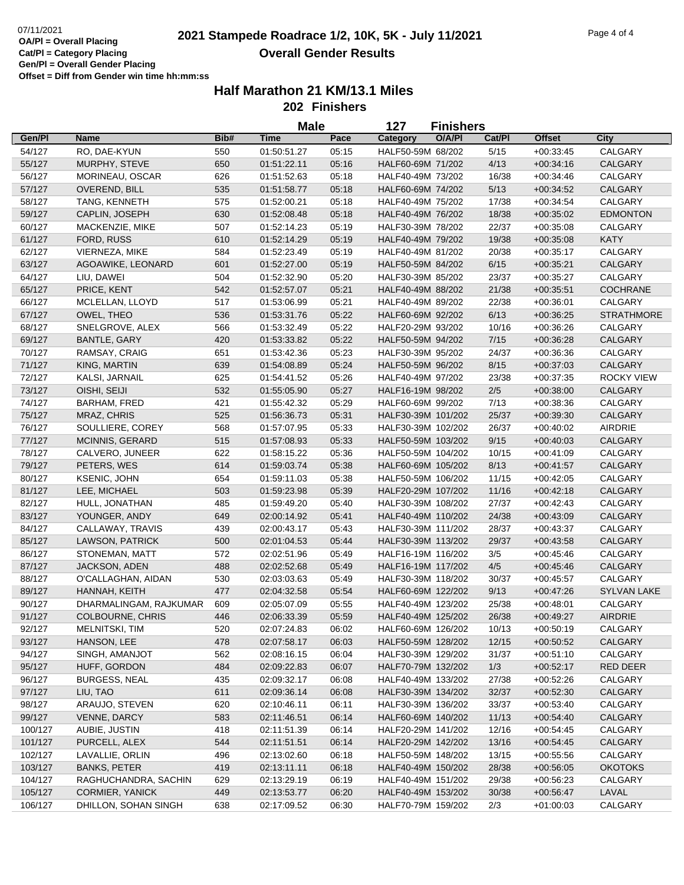|         |                                   |            | <b>Male</b>                |       | 127                | <b>Finishers</b> |        |                            |                    |
|---------|-----------------------------------|------------|----------------------------|-------|--------------------|------------------|--------|----------------------------|--------------------|
| Gen/Pl  | Name                              | Bib#       | <b>Time</b>                | Pace  | Category           | O/A/PI           | Cat/Pl | <b>Offset</b>              | <b>City</b>        |
| 54/127  | RO, DAE-KYUN                      | 550        | 01:50:51.27                | 05:15 | HALF50-59M 68/202  |                  | 5/15   | $+00:33:45$                | CALGARY            |
| 55/127  | MURPHY, STEVE                     | 650        | 01:51:22.11                | 05:16 | HALF60-69M 71/202  |                  | 4/13   | $+00:34:16$                | CALGARY            |
| 56/127  | MORINEAU, OSCAR                   | 626        | 01:51:52.63                | 05:18 | HALF40-49M 73/202  |                  | 16/38  | $+00.34:46$                | CALGARY            |
| 57/127  | OVEREND, BILL                     | 535        | 01:51:58.77                | 05:18 | HALF60-69M 74/202  |                  | 5/13   | $+00:34:52$                | CALGARY            |
| 58/127  | TANG, KENNETH                     | 575        | 01:52:00.21                | 05:18 | HALF40-49M 75/202  |                  | 17/38  | $+00:34:54$                | CALGARY            |
| 59/127  | CAPLIN, JOSEPH                    | 630        | 01:52:08.48                | 05:18 | HALF40-49M 76/202  |                  | 18/38  | $+00:35:02$                | <b>EDMONTON</b>    |
| 60/127  | MACKENZIE, MIKE                   | 507        | 01:52:14.23                | 05:19 | HALF30-39M 78/202  |                  | 22/37  | $+00:35:08$                | CALGARY            |
| 61/127  | <b>FORD, RUSS</b>                 | 610        | 01:52:14.29                | 05:19 | HALF40-49M 79/202  |                  | 19/38  | $+00:35:08$                | <b>KATY</b>        |
| 62/127  | VIERNEZA, MIKE                    | 584        | 01:52:23.49                | 05:19 | HALF40-49M 81/202  |                  | 20/38  | $+00:35:17$                | CALGARY            |
| 63/127  | AGOAWIKE, LEONARD                 | 601        | 01:52:27.00                | 05:19 | HALF50-59M 84/202  |                  | 6/15   | $+00:35:21$                | CALGARY            |
| 64/127  | LIU, DAWEI                        | 504        | 01:52:32.90                | 05:20 | HALF30-39M 85/202  |                  | 23/37  | $+00:35:27$                | CALGARY            |
| 65/127  | PRICE, KENT                       | 542        | 01:52:57.07                | 05:21 | HALF40-49M 88/202  |                  | 21/38  | $+00:35:51$                | <b>COCHRANE</b>    |
| 66/127  | MCLELLAN, LLOYD                   | 517        | 01:53:06.99                | 05:21 | HALF40-49M 89/202  |                  | 22/38  | $+00:36:01$                | CALGARY            |
| 67/127  | OWEL, THEO                        | 536        | 01:53:31.76                | 05:22 | HALF60-69M 92/202  |                  | 6/13   | $+00:36:25$                | <b>STRATHMORE</b>  |
| 68/127  | SNELGROVE, ALEX                   | 566        | 01:53:32.49                | 05:22 | HALF20-29M 93/202  |                  | 10/16  | $+00:36:26$                | CALGARY            |
| 69/127  | <b>BANTLE, GARY</b>               | 420        | 01:53:33.82                | 05:22 | HALF50-59M 94/202  |                  | 7/15   | $+00:36:28$                | CALGARY            |
| 70/127  | RAMSAY, CRAIG                     | 651        | 01:53:42.36                | 05:23 | HALF30-39M 95/202  |                  | 24/37  | $+00:36:36$                | CALGARY            |
| 71/127  | KING, MARTIN                      | 639        | 01:54:08.89                | 05:24 | HALF50-59M 96/202  |                  | 8/15   | $+00:37:03$                | CALGARY            |
| 72/127  | KALSI, JARNAIL                    | 625        | 01:54:41.52                | 05:26 | HALF40-49M 97/202  |                  | 23/38  | $+00:37:35$                | <b>ROCKY VIEW</b>  |
| 73/127  | OISHI, SEIJI                      | 532        | 01:55:05.90                | 05:27 | HALF16-19M 98/202  |                  | $2/5$  | $+00:38:00$                | CALGARY            |
| 74/127  | BARHAM, FRED                      | 421        | 01:55:42.32                | 05:29 | HALF60-69M 99/202  |                  | 7/13   | $+00.38.36$                | CALGARY            |
| 75/127  | MRAZ, CHRIS                       | 525        | 01:56:36.73                | 05:31 | HALF30-39M 101/202 |                  | 25/37  | $+00:39:30$                | CALGARY            |
| 76/127  | SOULLIERE, COREY                  | 568        | 01:57:07.95                | 05:33 | HALF30-39M 102/202 |                  | 26/37  | $+00.40.02$                | <b>AIRDRIE</b>     |
| 77/127  | MCINNIS, GERARD                   | 515        | 01:57:08.93                | 05:33 | HALF50-59M 103/202 |                  | 9/15   | $+00.40:03$                | CALGARY            |
| 78/127  | CALVERO, JUNEER                   | 622        | 01:58:15.22                | 05:36 | HALF50-59M 104/202 |                  | 10/15  | $+00:41:09$                | CALGARY            |
| 79/127  | PETERS, WES                       | 614        | 01:59:03.74                | 05:38 | HALF60-69M 105/202 |                  | 8/13   | $+00:41:57$                | CALGARY            |
| 80/127  | KSENIC, JOHN                      | 654        | 01:59:11.03                | 05:38 | HALF50-59M 106/202 |                  | 11/15  | $+00:42:05$                | CALGARY            |
| 81/127  | LEE, MICHAEL                      | 503        | 01:59:23.98                | 05:39 | HALF20-29M 107/202 |                  | 11/16  | $+00:42:18$                | CALGARY            |
| 82/127  | HULL, JONATHAN                    | 485        | 01:59:49.20                | 05:40 | HALF30-39M 108/202 |                  | 27/37  | $+00:42:43$                | CALGARY            |
| 83/127  | YOUNGER, ANDY                     | 649        | 02:00:14.92                | 05:41 | HALF40-49M 110/202 |                  | 24/38  | $+00:43:09$                | CALGARY            |
| 84/127  | CALLAWAY, TRAVIS                  | 439        | 02:00:43.17                | 05:43 | HALF30-39M 111/202 |                  | 28/37  |                            | CALGARY            |
| 85/127  |                                   | 500        | 02:01:04.53                | 05:44 | HALF30-39M 113/202 |                  | 29/37  | $+00:43:37$                | CALGARY            |
| 86/127  | LAWSON, PATRICK<br>STONEMAN, MATT | 572        | 02:02:51.96                | 05:49 | HALF16-19M 116/202 |                  | 3/5    | $+00:43:58$<br>$+00:45:46$ | CALGARY            |
| 87/127  | JACKSON, ADEN                     | 488        | 02:02:52.68                | 05:49 | HALF16-19M 117/202 |                  | 4/5    | $+00:45:46$                | CALGARY            |
| 88/127  | O'CALLAGHAN, AIDAN                | 530        |                            | 05:49 | HALF30-39M 118/202 |                  | 30/37  |                            | CALGARY            |
|         |                                   |            | 02:03:03.63<br>02:04:32.58 |       |                    |                  |        | $+00:45:57$                |                    |
| 89/127  | HANNAH, KEITH                     | 477        |                            | 05:54 | HALF60-69M 122/202 |                  | 9/13   | $+00:47:26$                | <b>SYLVAN LAKE</b> |
| 90/127  | DHARMALINGAM, RAJKUMAR            | 609<br>446 | 02:05:07.09                | 05:55 | HALF40-49M 123/202 |                  | 25/38  | $+00:48:01$                | CALGARY            |
| 91/127  | <b>COLBOURNE, CHRIS</b>           |            | 02:06:33.39                | 05:59 | HALF40-49M 125/202 |                  | 26/38  | $+00.49:27$                | <b>AIRDRIE</b>     |
| 92/127  | MELNITSKI, TIM                    | 520        | 02:07:24.83                | 06:02 | HALF60-69M 126/202 |                  | 10/13  | $+00:50:19$                | CALGARY            |
| 93/127  | HANSON, LEE                       | 478        | 02:07:58.17                | 06:03 | HALF50-59M 128/202 |                  | 12/15  | $+00:50:52$                | CALGARY            |
| 94/127  | SINGH, AMANJOT                    | 562        | 02:08:16.15                | 06:04 | HALF30-39M 129/202 |                  | 31/37  | $+00:51:10$                | CALGARY            |
| 95/127  | HUFF, GORDON                      | 484        | 02:09:22.83                | 06:07 | HALF70-79M 132/202 |                  | 1/3    | $+00:52:17$                | RED DEER           |
| 96/127  | <b>BURGESS, NEAL</b>              | 435        | 02:09:32.17                | 06:08 | HALF40-49M 133/202 |                  | 27/38  | $+00:52:26$                | CALGARY            |
| 97/127  | LIU, TAO                          | 611        | 02:09:36.14                | 06:08 | HALF30-39M 134/202 |                  | 32/37  | $+00:52:30$                | CALGARY            |
| 98/127  | ARAUJO, STEVEN                    | 620        | 02:10:46.11                | 06:11 | HALF30-39M 136/202 |                  | 33/37  | $+00:53:40$                | CALGARY            |
| 99/127  | VENNE, DARCY                      | 583        | 02:11:46.51                | 06:14 | HALF60-69M 140/202 |                  | 11/13  | $+00.54:40$                | CALGARY            |
| 100/127 | AUBIE, JUSTIN                     | 418        | 02:11:51.39                | 06:14 | HALF20-29M 141/202 |                  | 12/16  | $+00.54:45$                | CALGARY            |
| 101/127 | PURCELL, ALEX                     | 544        | 02:11:51.51                | 06:14 | HALF20-29M 142/202 |                  | 13/16  | $+00.54:45$                | CALGARY            |
| 102/127 | LAVALLIE, ORLIN                   | 496        | 02:13:02.60                | 06:18 | HALF50-59M 148/202 |                  | 13/15  | $+00:55:56$                | CALGARY            |
| 103/127 | <b>BANKS, PETER</b>               | 419        | 02:13:11.11                | 06:18 | HALF40-49M 150/202 |                  | 28/38  | $+00:56:05$                | <b>OKOTOKS</b>     |
| 104/127 | RAGHUCHANDRA, SACHIN              | 629        | 02:13:29.19                | 06:19 | HALF40-49M 151/202 |                  | 29/38  | $+00:56:23$                | CALGARY            |
| 105/127 | <b>CORMIER, YANICK</b>            | 449        | 02:13:53.77                | 06:20 | HALF40-49M 153/202 |                  | 30/38  | $+00:56:47$                | LAVAL              |
| 106/127 | DHILLON, SOHAN SINGH              | 638        | 02:17:09.52                | 06:30 | HALF70-79M 159/202 |                  | 2/3    | $+01:00:03$                | CALGARY            |